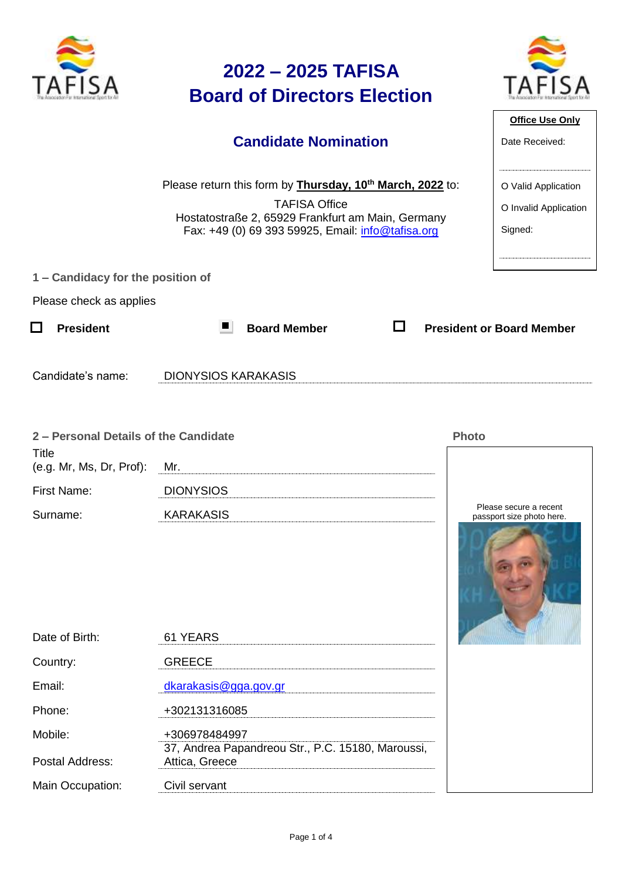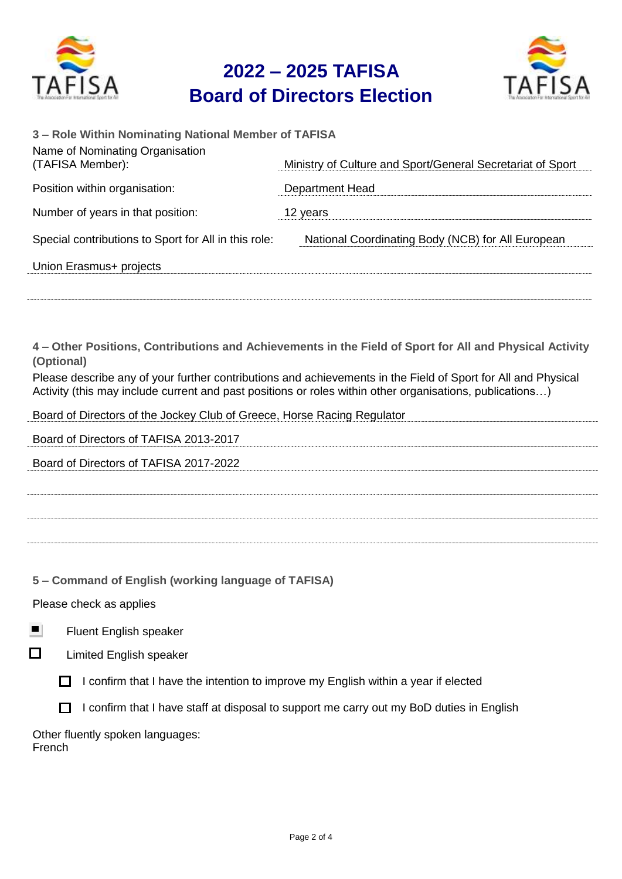

### **2022 – 2025 TAFISA Board of Directors Election**



| 3 - Role Within Nominating National Member of TAFISA |                                                            |
|------------------------------------------------------|------------------------------------------------------------|
| Name of Nominating Organisation<br>(TAFISA Member):  | Ministry of Culture and Sport/General Secretariat of Sport |
| Position within organisation:                        | <b>Department Head</b>                                     |
| Number of years in that position:                    | 12 years                                                   |
| Special contributions to Sport for All in this role: | National Coordinating Body (NCB) for All European          |
| Union Erasmus+ projects                              |                                                            |
|                                                      |                                                            |

**4 – Other Positions, Contributions and Achievements in the Field of Sport for All and Physical Activity (Optional)**

Please describe any of your further contributions and achievements in the Field of Sport for All and Physical Activity (this may include current and past positions or roles within other organisations, publications…)

Board of Directors of the Jockey Club of Greece, Horse Racing Regulator

| Board of Directors of TAFISA 2013-2017 |
|----------------------------------------|
| Board of Directors of TAFISA 2017-2022 |
|                                        |
|                                        |
|                                        |
|                                        |

**5 – Command of English (working language of TAFISA)**

Please check as applies

Fluent English speaker





 $\Box$  I confirm that I have the intention to improve my English within a year if elected

 $\Box$  I confirm that I have staff at disposal to support me carry out my BoD duties in English

Other fluently spoken languages: French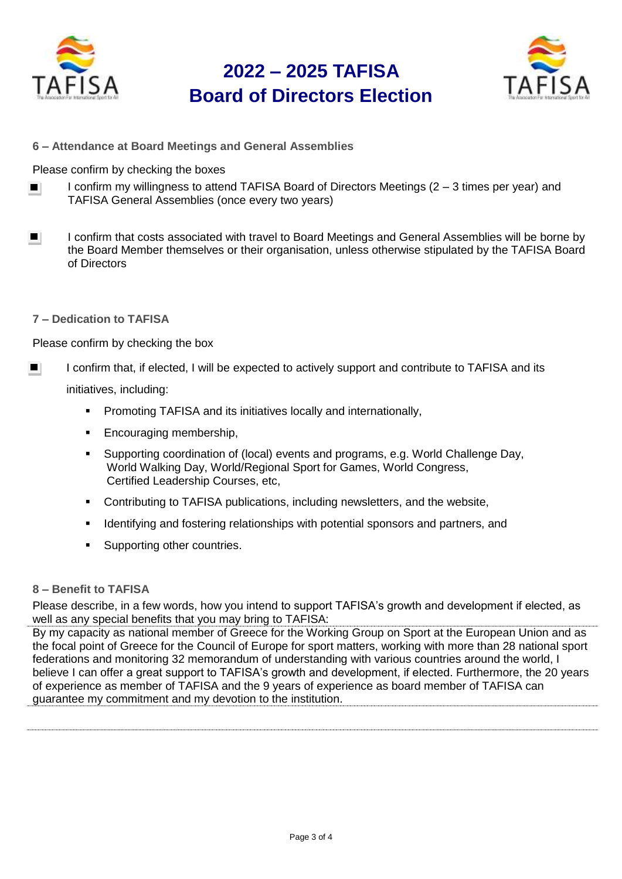

## **2022 – 2025 TAFISA Board of Directors Election**



**6 – Attendance at Board Meetings and General Assemblies**

Please confirm by checking the boxes

- I confirm my willingness to attend TAFISA Board of Directors Meetings (2 3 times per year) and  $\blacksquare$ TAFISA General Assemblies (once every two years)
- I confirm that costs associated with travel to Board Meetings and General Assemblies will be borne by  $\blacksquare$ the Board Member themselves or their organisation, unless otherwise stipulated by the TAFISA Board of Directors
- **7 – Dedication to TAFISA**

Please confirm by checking the box

- I confirm that, if elected, I will be expected to actively support and contribute to TAFISA and its  $\blacksquare$ initiatives, including:
	- **Promoting TAFISA and its initiatives locally and internationally,**
	- **Encouraging membership,**
	- Supporting coordination of (local) events and programs, e.g. World Challenge Day, World Walking Day, World/Regional Sport for Games, World Congress, Certified Leadership Courses, etc,
	- Contributing to TAFISA publications, including newsletters, and the website,
	- Identifying and fostering relationships with potential sponsors and partners, and
	- Supporting other countries.

#### **8 – Benefit to TAFISA**

Please describe, in a few words, how you intend to support TAFISA's growth and development if elected, as well as any special benefits that you may bring to TAFISA:

By my capacity as national member of Greece for the Working Group on Sport at the European Union and as the focal point of Greece for the Council of Europe for sport matters, working with more than 28 national sport federations and monitoring 32 memorandum of understanding with various countries around the world, I believe I can offer a great support to TAFISA's growth and development, if elected. Furthermore, the 20 years of experience as member of TAFISA and the 9 years of experience as board member of TAFISA can guarantee my commitment and my devotion to the institution.

Page 3 of 4